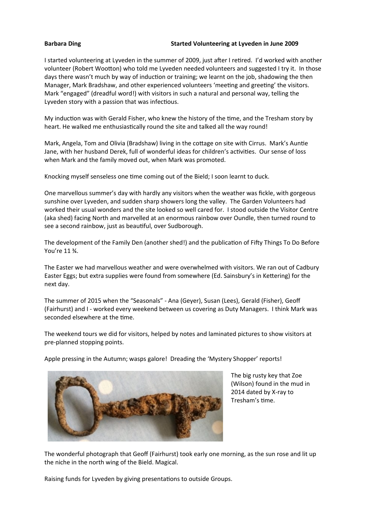## **Barbara Ding Started Volunteering at Lyveden in June 2009**

I started volunteering at Lyveden in the summer of 2009, just after I retired. I'd worked with another volunteer (Robert Wootton) who told me Lyveden needed volunteers and suggested I try it. In those days there wasn't much by way of induction or training; we learnt on the job, shadowing the then Manager, Mark Bradshaw, and other experienced volunteers 'meeting and greeting' the visitors. Mark "engaged" (dreadful word!) with visitors in such a natural and personal way, telling the Lyveden story with a passion that was infectious.

My induction was with Gerald Fisher, who knew the history of the time, and the Tresham story by heart. He walked me enthusiastically round the site and talked all the way round!

Mark, Angela, Tom and Olivia (Bradshaw) living in the cottage on site with Cirrus. Mark's Auntie Jane, with her husband Derek, full of wonderful ideas for children's activities. Our sense of loss when Mark and the family moved out, when Mark was promoted.

Knocking myself senseless one time coming out of the Bield; I soon learnt to duck.

One marvellous summer's day with hardly any visitors when the weather was fickle, with gorgeous sunshine over Lyveden, and sudden sharp showers long the valley. The Garden Volunteers had worked their usual wonders and the site looked so well cared for. I stood outside the Visitor Centre (aka shed) facing North and marvelled at an enormous rainbow over Oundle, then turned round to see a second rainbow, just as beautiful, over Sudborough.

The development of the Family Den (another shed!) and the publication of Fifty Things To Do Before You're 11 ¾.

The Easter we had marvellous weather and were overwhelmed with visitors. We ran out of Cadbury Easter Eggs; but extra supplies were found from somewhere (Ed. Sainsbury's in Kettering) for the next day.

The summer of 2015 when the "Seasonals" - Ana (Geyer), Susan (Lees), Gerald (Fisher), Geoff (Fairhurst) and I - worked every weekend between us covering as Duty Managers. I think Mark was seconded elsewhere at the time.

The weekend tours we did for visitors, helped by notes and laminated pictures to show visitors at pre-planned stopping points.

Apple pressing in the Autumn; wasps galore! Dreading the 'Mystery Shopper' reports!



The big rusty key that Zoe (Wilson) found in the mud in 2014 dated by X-ray to Tresham's time.

The wonderful photograph that Geoff (Fairhurst) took early one morning, as the sun rose and lit up the niche in the north wing of the Bield. Magical.

Raising funds for Lyveden by giving presentations to outside Groups.